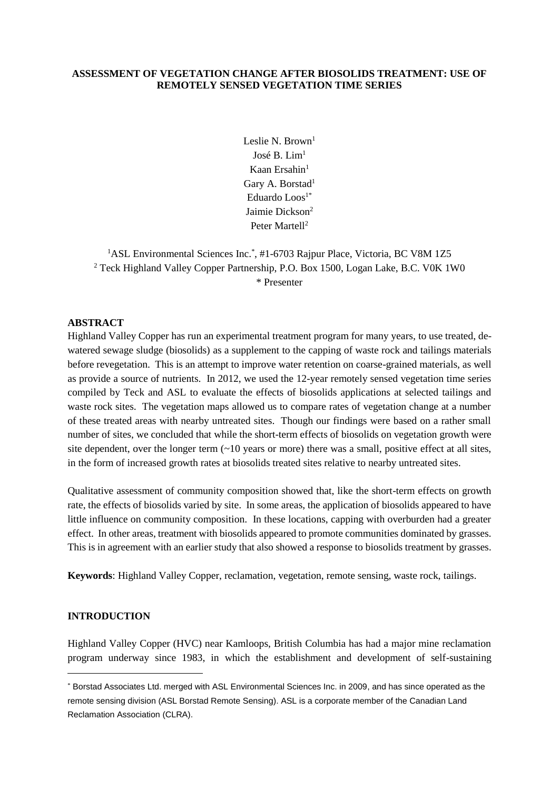## **ASSESSMENT OF VEGETATION CHANGE AFTER BIOSOLIDS TREATMENT: USE OF REMOTELY SENSED VEGETATION TIME SERIES**

Leslie N. Brown<sup>1</sup> José B. Lim<sup>1</sup> Kaan Ersahin $1$ Gary A. Borstad<sup>1</sup> Eduardo  $\text{Loos}^{1*}$ Jaimie Dickson<sup>2</sup> Peter Martell<sup>2</sup>

<sup>1</sup>ASL Environmental Sciences Inc.\*, #1-6703 Rajpur Place, Victoria, BC V8M 1Z5 <sup>2</sup> Teck Highland Valley Copper Partnership, P.O. Box 1500, Logan Lake, B.C. V0K 1W0 \* Presenter

# **ABSTRACT**

Highland Valley Copper has run an experimental treatment program for many years, to use treated, dewatered sewage sludge (biosolids) as a supplement to the capping of waste rock and tailings materials before revegetation. This is an attempt to improve water retention on coarse-grained materials, as well as provide a source of nutrients. In 2012, we used the 12-year remotely sensed vegetation time series compiled by Teck and ASL to evaluate the effects of biosolids applications at selected tailings and waste rock sites. The vegetation maps allowed us to compare rates of vegetation change at a number of these treated areas with nearby untreated sites. Though our findings were based on a rather small number of sites, we concluded that while the short-term effects of biosolids on vegetation growth were site dependent, over the longer term  $(\sim 10$  years or more) there was a small, positive effect at all sites, in the form of increased growth rates at biosolids treated sites relative to nearby untreated sites.

Qualitative assessment of community composition showed that, like the short-term effects on growth rate, the effects of biosolids varied by site. In some areas, the application of biosolids appeared to have little influence on community composition. In these locations, capping with overburden had a greater effect. In other areas, treatment with biosolids appeared to promote communities dominated by grasses. This is in agreement with an earlier study that also showed a response to biosolids treatment by grasses.

**Keywords**: Highland Valley Copper, reclamation, vegetation, remote sensing, waste rock, tailings.

# **INTRODUCTION**

1

Highland Valley Copper (HVC) near Kamloops, British Columbia has had a major mine reclamation program underway since 1983, in which the establishment and development of self-sustaining

<sup>\*</sup> Borstad Associates Ltd. merged with ASL Environmental Sciences Inc. in 2009, and has since operated as the remote sensing division (ASL Borstad Remote Sensing). ASL is a corporate member of the Canadian Land Reclamation Association (CLRA).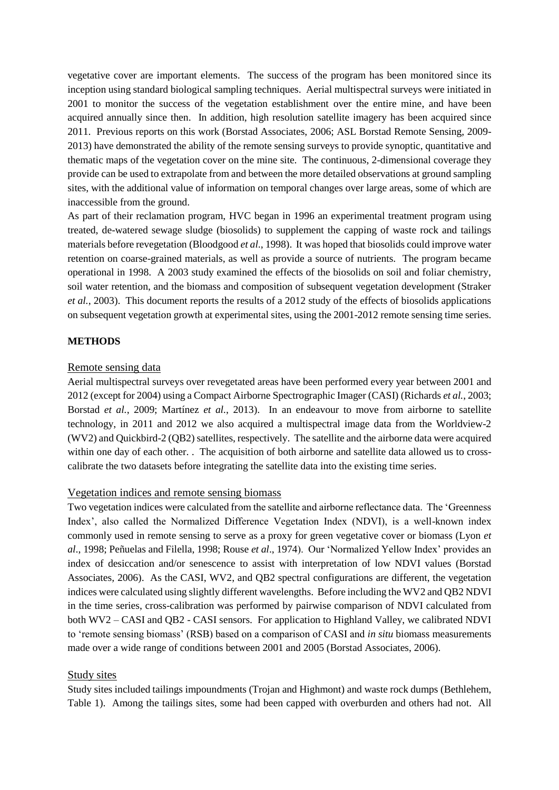vegetative cover are important elements. The success of the program has been monitored since its inception using standard biological sampling techniques. Aerial multispectral surveys were initiated in 2001 to monitor the success of the vegetation establishment over the entire mine, and have been acquired annually since then. In addition, high resolution satellite imagery has been acquired since 2011. Previous reports on this work (Borstad Associates, 2006; ASL Borstad Remote Sensing, 2009- 2013) have demonstrated the ability of the remote sensing surveys to provide synoptic, quantitative and thematic maps of the vegetation cover on the mine site. The continuous, 2-dimensional coverage they provide can be used to extrapolate from and between the more detailed observations at ground sampling sites, with the additional value of information on temporal changes over large areas, some of which are inaccessible from the ground.

As part of their reclamation program, HVC began in 1996 an experimental treatment program using treated, de-watered sewage sludge (biosolids) to supplement the capping of waste rock and tailings materials before revegetation (Bloodgood *et al*., 1998). It was hoped that biosolids could improve water retention on coarse-grained materials, as well as provide a source of nutrients. The program became operational in 1998. A 2003 study examined the effects of the biosolids on soil and foliar chemistry, soil water retention, and the biomass and composition of subsequent vegetation development (Straker *et al.*, 2003). This document reports the results of a 2012 study of the effects of biosolids applications on subsequent vegetation growth at experimental sites, using the 2001-2012 remote sensing time series.

# **METHODS**

## Remote sensing data

Aerial multispectral surveys over revegetated areas have been performed every year between 2001 and 2012 (except for 2004) using a Compact Airborne Spectrographic Imager (CASI) (Richards *et al.*, 2003; Borstad *et al.*, 2009; Martínez *et al.*, 2013). In an endeavour to move from airborne to satellite technology, in 2011 and 2012 we also acquired a multispectral image data from the Worldview-2 (WV2) and Quickbird-2 (QB2) satellites, respectively. The satellite and the airborne data were acquired within one day of each other. . The acquisition of both airborne and satellite data allowed us to crosscalibrate the two datasets before integrating the satellite data into the existing time series.

#### Vegetation indices and remote sensing biomass

Two vegetation indices were calculated from the satellite and airborne reflectance data. The 'Greenness Index', also called the Normalized Difference Vegetation Index (NDVI), is a well-known index commonly used in remote sensing to serve as a proxy for green vegetative cover or biomass (Lyon *et al*., 1998; Peñuelas and Filella, 1998; Rouse *et al*., 1974). Our 'Normalized Yellow Index' provides an index of desiccation and/or senescence to assist with interpretation of low NDVI values (Borstad Associates*,* 2006). As the CASI, WV2, and QB2 spectral configurations are different, the vegetation indices were calculated using slightly different wavelengths. Before including the WV2 and QB2 NDVI in the time series, cross-calibration was performed by pairwise comparison of NDVI calculated from both WV2 – CASI and QB2 - CASI sensors. For application to Highland Valley, we calibrated NDVI to 'remote sensing biomass' (RSB) based on a comparison of CASI and *in situ* biomass measurements made over a wide range of conditions between 2001 and 2005 (Borstad Associates, 2006).

#### Study sites

Study sites included tailings impoundments (Trojan and Highmont) and waste rock dumps (Bethlehem, Table 1). Among the tailings sites, some had been capped with overburden and others had not. All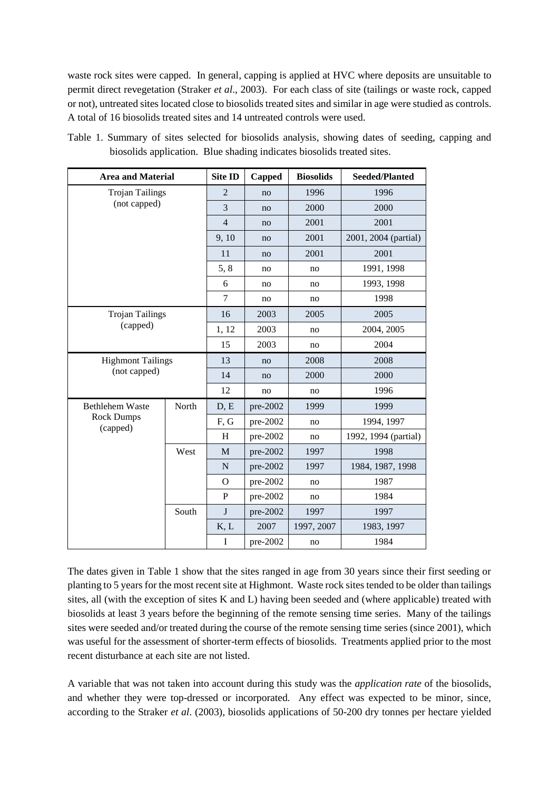waste rock sites were capped. In general, capping is applied at HVC where deposits are unsuitable to permit direct revegetation (Straker *et al*., 2003). For each class of site (tailings or waste rock, capped or not), untreated sites located close to biosolids treated sites and similar in age were studied as controls. A total of 16 biosolids treated sites and 14 untreated controls were used.

| <b>Area and Material</b>                                |       | <b>Site ID</b> | Capped   | <b>Biosolids</b> | <b>Seeded/Planted</b> |
|---------------------------------------------------------|-------|----------------|----------|------------------|-----------------------|
| <b>Trojan Tailings</b><br>(not capped)                  |       | $\overline{2}$ | no       | 1996             | 1996                  |
|                                                         |       | 3              | no       | 2000             | 2000                  |
|                                                         |       | $\overline{4}$ | no       | 2001             | 2001                  |
|                                                         |       | 9, 10          | no       | 2001             | 2001, 2004 (partial)  |
|                                                         |       | 11             | no       | 2001             | 2001                  |
|                                                         |       | 5, 8           | no       | no               | 1991, 1998            |
|                                                         |       | 6              | no       | no               | 1993, 1998            |
|                                                         |       | $\overline{7}$ | no       | no               | 1998                  |
| <b>Trojan Tailings</b><br>(capped)                      |       | 16             | 2003     | 2005             | 2005                  |
|                                                         |       | 1, 12          | 2003     | no               | 2004, 2005            |
|                                                         |       | 15             | 2003     | no               | 2004                  |
| <b>Highmont Tailings</b><br>(not capped)                |       | 13             | no       | 2008             | 2008                  |
|                                                         |       | 14             | no       | 2000             | 2000                  |
|                                                         |       | 12             | no       | no               | 1996                  |
| <b>Bethlehem Waste</b><br><b>Rock Dumps</b><br>(capped) | North | D, E           | pre-2002 | 1999             | 1999                  |
|                                                         |       | F, G           | pre-2002 | no               | 1994, 1997            |
|                                                         |       | H              | pre-2002 | no               | 1992, 1994 (partial)  |
|                                                         | West  | M              | pre-2002 | 1997             | 1998                  |
|                                                         |       | $\mathbf N$    | pre-2002 | 1997             | 1984, 1987, 1998      |
|                                                         |       | $\Omega$       | pre-2002 | no               | 1987                  |
|                                                         |       | $\mathbf P$    | pre-2002 | no               | 1984                  |
|                                                         | South | $\bf J$        | pre-2002 | 1997             | 1997                  |
|                                                         |       | K, L           | 2007     | 1997, 2007       | 1983, 1997            |
|                                                         |       | $\bf I$        | pre-2002 | no               | 1984                  |

Table 1. Summary of sites selected for biosolids analysis, showing dates of seeding, capping and biosolids application. Blue shading indicates biosolids treated sites.

The dates given in Table 1 show that the sites ranged in age from 30 years since their first seeding or planting to 5 years for the most recent site at Highmont. Waste rock sites tended to be older than tailings sites, all (with the exception of sites K and L) having been seeded and (where applicable) treated with biosolids at least 3 years before the beginning of the remote sensing time series. Many of the tailings sites were seeded and/or treated during the course of the remote sensing time series (since 2001), which was useful for the assessment of shorter-term effects of biosolids. Treatments applied prior to the most recent disturbance at each site are not listed.

A variable that was not taken into account during this study was the *application rate* of the biosolids, and whether they were top-dressed or incorporated. Any effect was expected to be minor, since, according to the Straker *et al*. (2003), biosolids applications of 50-200 dry tonnes per hectare yielded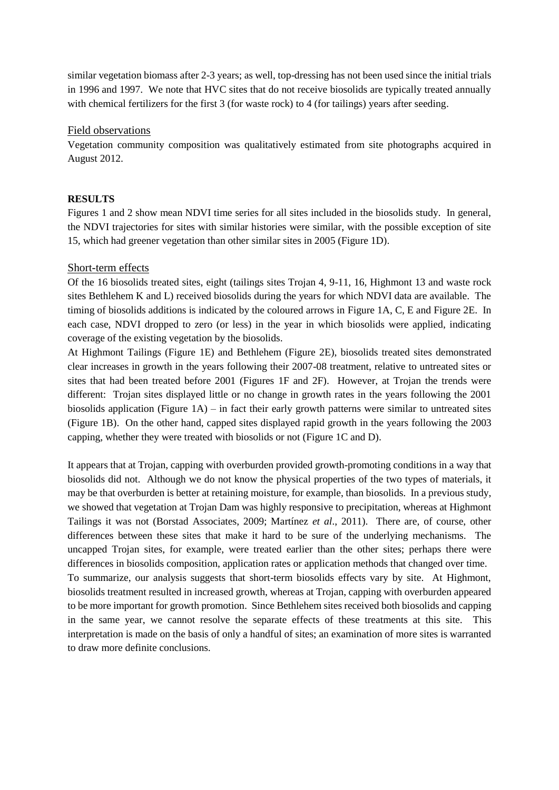similar vegetation biomass after 2-3 years; as well, top-dressing has not been used since the initial trials in 1996 and 1997. We note that HVC sites that do not receive biosolids are typically treated annually with chemical fertilizers for the first 3 (for waste rock) to 4 (for tailings) years after seeding.

## Field observations

Vegetation community composition was qualitatively estimated from site photographs acquired in August 2012.

## **RESULTS**

Figures 1 and 2 show mean NDVI time series for all sites included in the biosolids study. In general, the NDVI trajectories for sites with similar histories were similar, with the possible exception of site 15, which had greener vegetation than other similar sites in 2005 (Figure 1D).

# Short-term effects

Of the 16 biosolids treated sites, eight (tailings sites Trojan 4, 9-11, 16, Highmont 13 and waste rock sites Bethlehem K and L) received biosolids during the years for which NDVI data are available. The timing of biosolids additions is indicated by the coloured arrows in Figure 1A, C, E and Figure 2E. In each case, NDVI dropped to zero (or less) in the year in which biosolids were applied, indicating coverage of the existing vegetation by the biosolids.

At Highmont Tailings (Figure 1E) and Bethlehem (Figure 2E), biosolids treated sites demonstrated clear increases in growth in the years following their 2007-08 treatment, relative to untreated sites or sites that had been treated before 2001 (Figures 1F and 2F). However, at Trojan the trends were different: Trojan sites displayed little or no change in growth rates in the years following the 2001 biosolids application (Figure 1A) – in fact their early growth patterns were similar to untreated sites (Figure 1B). On the other hand, capped sites displayed rapid growth in the years following the 2003 capping, whether they were treated with biosolids or not (Figure 1C and D).

It appears that at Trojan, capping with overburden provided growth-promoting conditions in a way that biosolids did not. Although we do not know the physical properties of the two types of materials, it may be that overburden is better at retaining moisture, for example, than biosolids. In a previous study, we showed that vegetation at Trojan Dam was highly responsive to precipitation, whereas at Highmont Tailings it was not (Borstad Associates, 2009; Martínez *et al*., 2011). There are, of course, other differences between these sites that make it hard to be sure of the underlying mechanisms. The uncapped Trojan sites, for example, were treated earlier than the other sites; perhaps there were differences in biosolids composition, application rates or application methods that changed over time. To summarize, our analysis suggests that short-term biosolids effects vary by site. At Highmont, biosolids treatment resulted in increased growth, whereas at Trojan, capping with overburden appeared to be more important for growth promotion. Since Bethlehem sites received both biosolids and capping in the same year, we cannot resolve the separate effects of these treatments at this site. This interpretation is made on the basis of only a handful of sites; an examination of more sites is warranted to draw more definite conclusions.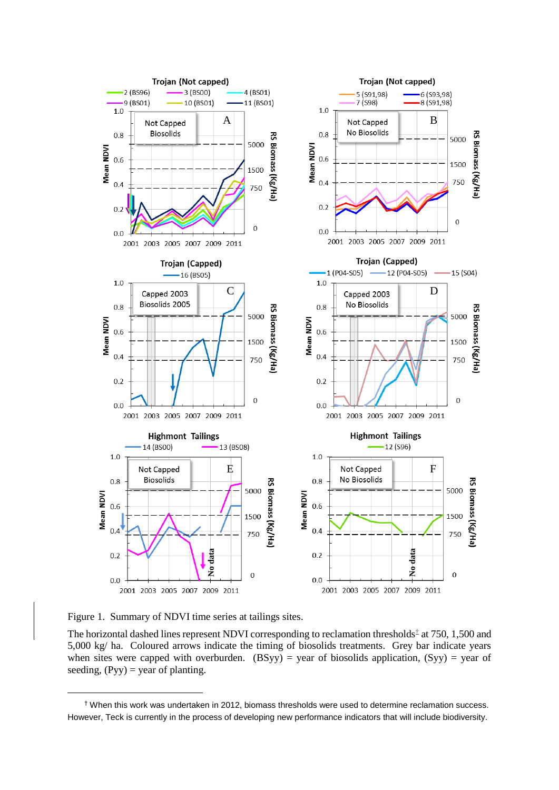

<span id="page-4-0"></span>Figure 1. Summary of NDVI time series at tailings sites.

1

The horizontal dashed lines represent NDVI corresponding to reclamation thresholds<sup>†</sup> at 750, 1,500 and 5,000 kg/ ha. Coloured arrows indicate the timing of biosolids treatments. Grey bar indicate years when sites were capped with overburden.  $(BSyy) = year$  of biosolids application,  $(Syy) = year$  of seeding,  $(Pyy)$  = year of planting.

<sup>†</sup> When this work was undertaken in 2012, biomass thresholds were used to determine reclamation success.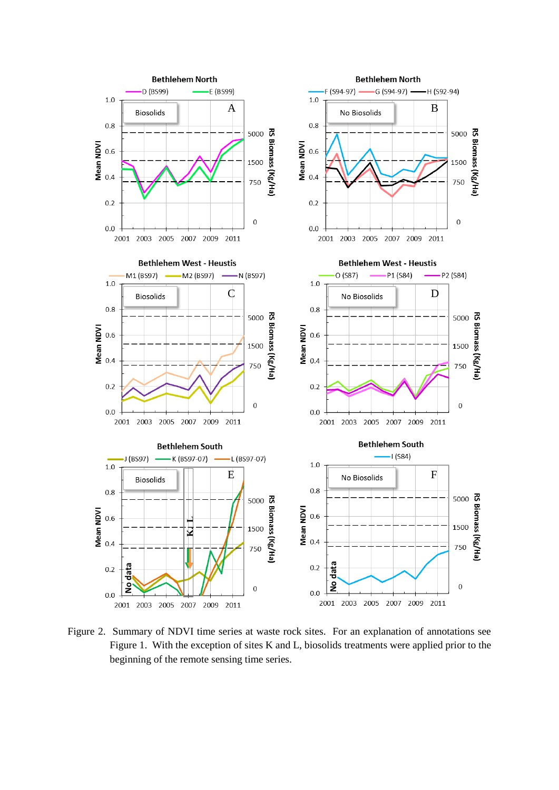

Figure 2. Summary of NDVI time series at waste rock sites. For an explanation of annotations see [Figure 1.](#page-4-0) With the exception of sites K and L, biosolids treatments were applied prior to the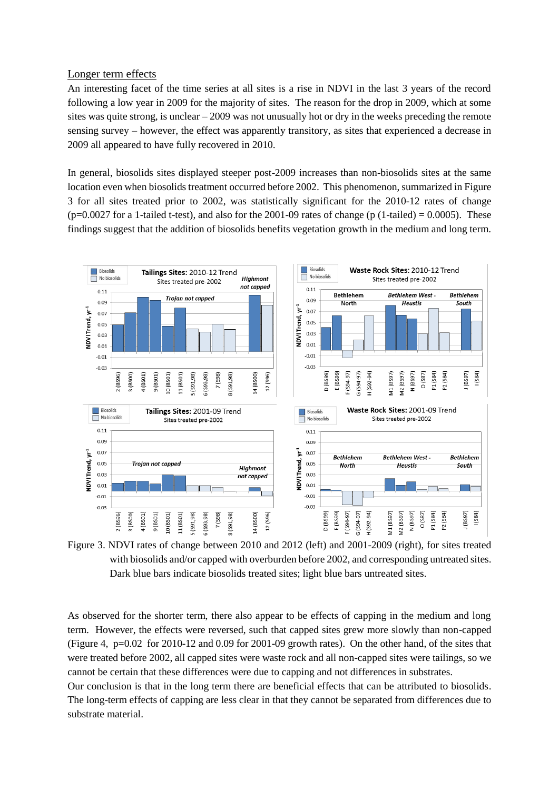# Longer term effects

An interesting facet of the time series at all sites is a rise in NDVI in the last 3 years of the record following a low year in 2009 for the majority of sites. The reason for the drop in 2009, which at some sites was quite strong, is unclear – 2009 was not unusually hot or dry in the weeks preceding the remote sensing survey – however, the effect was apparently transitory, as sites that experienced a decrease in 2009 all appeared to have fully recovered in 2010.

In general, biosolids sites displayed steeper post-2009 increases than non-biosolids sites at the same location even when biosolids treatment occurred before 2002. This phenomenon, summarized in Figure 3 for all sites treated prior to 2002, was statistically significant for the 2010-12 rates of change  $(p=0.0027$  for a 1-tailed t-test), and also for the 2001-09 rates of change (p (1-tailed) = 0.0005). These findings suggest that the addition of biosolids benefits vegetation growth in the medium and long term.



Figure 3. NDVI rates of change between 2010 and 2012 (left) and 2001-2009 (right), for sites treated with biosolids and/or capped with overburden before 2002, and corresponding untreated sites. Dark blue bars indicate biosolids treated sites; light blue bars untreated sites.

As observed for the shorter term, there also appear to be effects of capping in the medium and long term. However, the effects were reversed, such that capped sites grew more slowly than non-capped [\(Figure 4,](#page-7-0) p=0.02 for 2010-12 and 0.09 for 2001-09 growth rates). On the other hand, of the sites that were treated before 2002, all capped sites were waste rock and all non-capped sites were tailings, so we cannot be certain that these differences were due to capping and not differences in substrates.

Our conclusion is that in the long term there are beneficial effects that can be attributed to biosolids. The long-term effects of capping are less clear in that they cannot be separated from differences due to substrate material.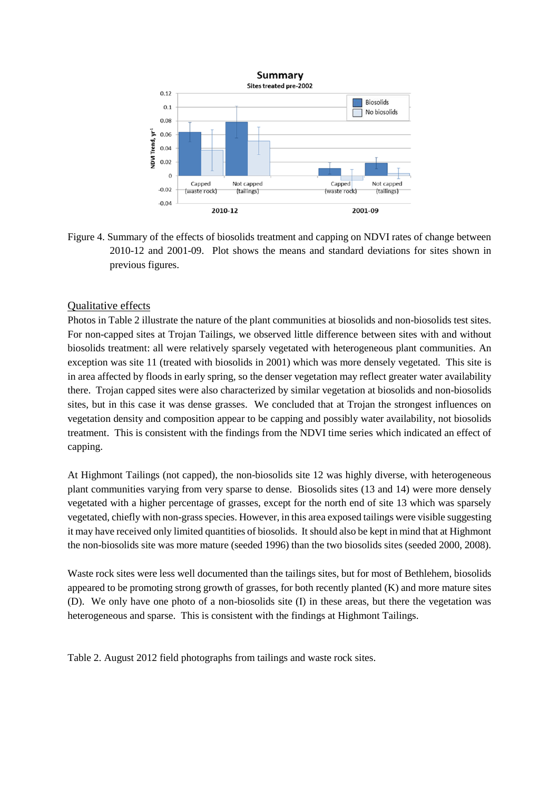

<span id="page-7-0"></span>Figure 4. Summary of the effects of biosolids treatment and capping on NDVI rates of change between 2010-12 and 2001-09. Plot shows the means and standard deviations for sites shown in previous figures.

# Qualitative effects

Photos in Table 2 illustrate the nature of the plant communities at biosolids and non-biosolids test sites. For non-capped sites at Trojan Tailings, we observed little difference between sites with and without biosolids treatment: all were relatively sparsely vegetated with heterogeneous plant communities. An exception was site 11 (treated with biosolids in 2001) which was more densely vegetated. This site is in area affected by floods in early spring, so the denser vegetation may reflect greater water availability there. Trojan capped sites were also characterized by similar vegetation at biosolids and non-biosolids sites, but in this case it was dense grasses. We concluded that at Trojan the strongest influences on vegetation density and composition appear to be capping and possibly water availability, not biosolids treatment. This is consistent with the findings from the NDVI time series which indicated an effect of capping.

At Highmont Tailings (not capped), the non-biosolids site 12 was highly diverse, with heterogeneous plant communities varying from very sparse to dense. Biosolids sites (13 and 14) were more densely vegetated with a higher percentage of grasses, except for the north end of site 13 which was sparsely vegetated, chiefly with non-grass species. However, in this area exposed tailings were visible suggesting it may have received only limited quantities of biosolids. It should also be kept in mind that at Highmont the non-biosolids site was more mature (seeded 1996) than the two biosolids sites (seeded 2000, 2008).

Waste rock sites were less well documented than the tailings sites, but for most of Bethlehem, biosolids appeared to be promoting strong growth of grasses, for both recently planted (K) and more mature sites (D). We only have one photo of a non-biosolids site (I) in these areas, but there the vegetation was heterogeneous and sparse. This is consistent with the findings at Highmont Tailings.

Table 2. August 2012 field photographs from tailings and waste rock sites.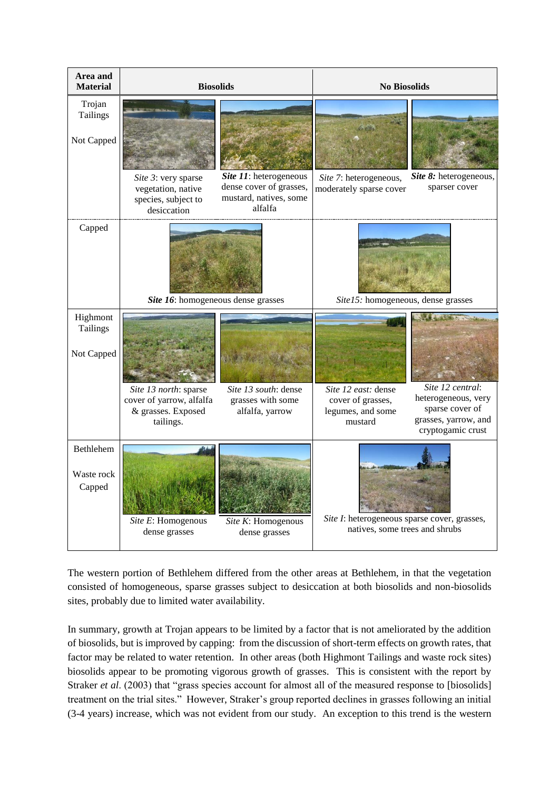| Area and<br><b>Material</b>        | <b>Biosolids</b>                                                                                                                                                          | <b>No Biosolids</b>                                                                                                                                                                 |  |  |
|------------------------------------|---------------------------------------------------------------------------------------------------------------------------------------------------------------------------|-------------------------------------------------------------------------------------------------------------------------------------------------------------------------------------|--|--|
| Trojan<br>Tailings<br>Not Capped   |                                                                                                                                                                           |                                                                                                                                                                                     |  |  |
|                                    | Site 11: heterogeneous<br>Site 3: very sparse<br>dense cover of grasses,<br>vegetation, native<br>mustard, natives, some<br>species, subject to<br>alfalfa<br>desiccation | Site 8: heterogeneous,<br>Site 7: heterogeneous,<br>sparser cover<br>moderately sparse cover                                                                                        |  |  |
| Capped                             | Site 16: homogeneous dense grasses                                                                                                                                        | Site15: homogeneous, dense grasses                                                                                                                                                  |  |  |
| Highmont<br>Tailings<br>Not Capped |                                                                                                                                                                           | <b>A PARTIES OF SHOP</b>                                                                                                                                                            |  |  |
|                                    | Site 13 south: dense<br>Site 13 north: sparse<br>cover of yarrow, alfalfa<br>grasses with some<br>& grasses. Exposed<br>alfalfa, yarrow<br>tailings.                      | Site 12 central:<br>Site 12 east: dense<br>heterogeneous, very<br>cover of grasses,<br>sparse cover of<br>legumes, and some<br>grasses, yarrow, and<br>mustard<br>cryptogamic crust |  |  |
| Bethlehem<br>Waste rock<br>Capped  | Site E: Homogenous<br>Site K: Homogenous<br>dense grasses<br>dense grasses                                                                                                | Site I: heterogeneous sparse cover, grasses,<br>natives, some trees and shrubs                                                                                                      |  |  |

The western portion of Bethlehem differed from the other areas at Bethlehem, in that the vegetation consisted of homogeneous, sparse grasses subject to desiccation at both biosolids and non-biosolids sites, probably due to limited water availability.

In summary, growth at Trojan appears to be limited by a factor that is not ameliorated by the addition of biosolids, but is improved by capping: from the discussion of short-term effects on growth rates, that factor may be related to water retention. In other areas (both Highmont Tailings and waste rock sites) biosolids appear to be promoting vigorous growth of grasses. This is consistent with the report by Straker *et al.* (2003) that "grass species account for almost all of the measured response to [biosolids] treatment on the trial sites." However, Straker's group reported declines in grasses following an initial (3-4 years) increase, which was not evident from our study. An exception to this trend is the western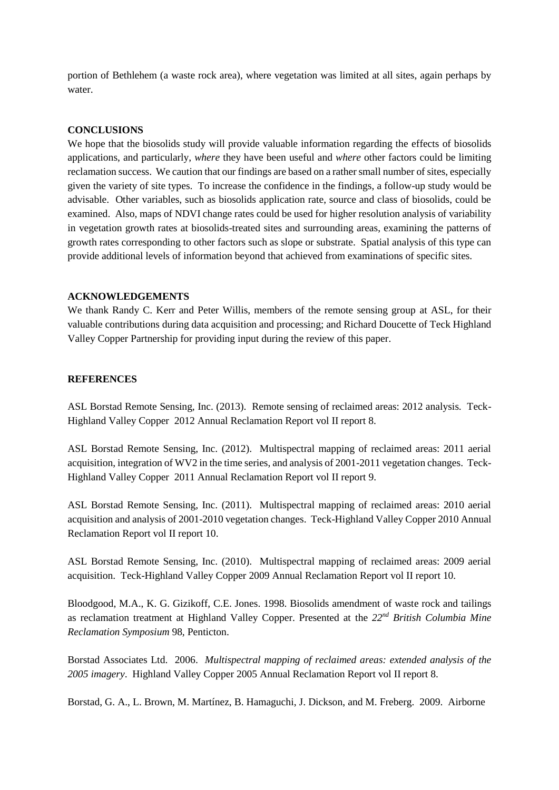portion of Bethlehem (a waste rock area), where vegetation was limited at all sites, again perhaps by water.

## **CONCLUSIONS**

We hope that the biosolids study will provide valuable information regarding the effects of biosolids applications, and particularly, *where* they have been useful and *where* other factors could be limiting reclamation success. We caution that our findings are based on a rather small number of sites, especially given the variety of site types. To increase the confidence in the findings, a follow-up study would be advisable. Other variables, such as biosolids application rate, source and class of biosolids, could be examined. Also, maps of NDVI change rates could be used for higher resolution analysis of variability in vegetation growth rates at biosolids-treated sites and surrounding areas, examining the patterns of growth rates corresponding to other factors such as slope or substrate. Spatial analysis of this type can provide additional levels of information beyond that achieved from examinations of specific sites.

#### **ACKNOWLEDGEMENTS**

We thank Randy C. Kerr and Peter Willis, members of the remote sensing group at ASL, for their valuable contributions during data acquisition and processing; and Richard Doucette of Teck Highland Valley Copper Partnership for providing input during the review of this paper.

#### **REFERENCES**

ASL Borstad Remote Sensing, Inc. (2013). Remote sensing of reclaimed areas: 2012 analysis. Teck-Highland Valley Copper 2012 Annual Reclamation Report vol II report 8.

ASL Borstad Remote Sensing, Inc. (2012). Multispectral mapping of reclaimed areas: 2011 aerial acquisition, integration of WV2 in the time series, and analysis of 2001-2011 vegetation changes. Teck-Highland Valley Copper 2011 Annual Reclamation Report vol II report 9.

ASL Borstad Remote Sensing, Inc. (2011). Multispectral mapping of reclaimed areas: 2010 aerial acquisition and analysis of 2001-2010 vegetation changes. Teck-Highland Valley Copper 2010 Annual Reclamation Report vol II report 10.

ASL Borstad Remote Sensing, Inc. (2010). Multispectral mapping of reclaimed areas: 2009 aerial acquisition. Teck-Highland Valley Copper 2009 Annual Reclamation Report vol II report 10.

Bloodgood, M.A., K. G. Gizikoff, C.E. Jones. 1998. Biosolids amendment of waste rock and tailings as reclamation treatment at Highland Valley Copper. Presented at the *22nd British Columbia Mine Reclamation Symposium* 98, Penticton.

Borstad Associates Ltd. 2006. *Multispectral mapping of reclaimed areas: extended analysis of the 2005 imagery*. Highland Valley Copper 2005 Annual Reclamation Report vol II report 8.

Borstad, G. A., L. Brown, M. Martínez, B. Hamaguchi, J. Dickson, and M. Freberg. 2009. Airborne